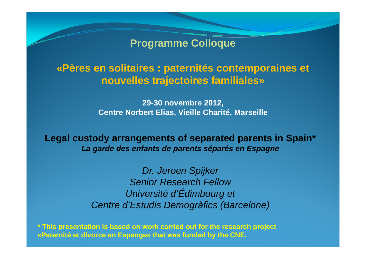**Programme Colloque**

# **«Pères en solitaires : paternités contemporaines et paternités nouvelles trajectoires familiales»**

**29-30 novembre 2012, Centre Norbert Elias, Vieille Charité, Marseille**

**Legal custody arrangements of separated parents in Spain\*** *La garde des enfants de parents séparés en Espagne*

> *Dr. Jeroen Spijker Senior Research Fellow<u>Université</u>* d'Édimbourg<sup>et</sup> *Centre d'Estudis Demogràfics (Barcelone)*

**\* This presentation is based on work carried out for the research project «Paternité et divorce en Espange» that was funded by the CNE.**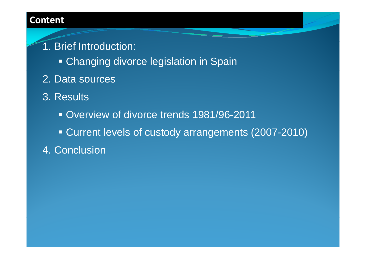#### **Content**

1. Brief Introduction:

- **Changing divorce legislation in Spain**
- 2. Data sources
- 3. Results
	- Overview of divorce trends 1981/96-2011
	- Current levels of custody arrangements (2007-2010)
- 4. Conclusion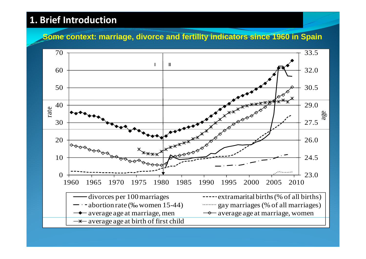# **1. Brief Introduction**

#### **Some context: marriage, divorce and fertility indicators since 1960 in Spain**

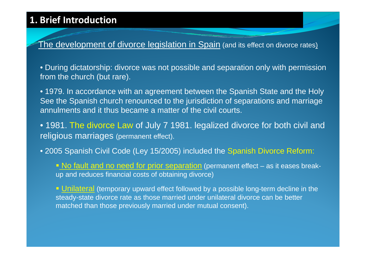# **1. Brief Introduction**

<u>The development of divorce legislation in Spain</u> (and its effect on divorce rates<u>)</u>

 $\bullet$  During dictatorship: divorce was not possible and separation only with permission  $\bullet$ from the church (but rare).

• 1979. In accordance with an agreement between the Spanish State and the Holy See the Spanish church renounced to the jurisdiction of separations and marriage annulments and it thus became a matter of the civil courts.

• 1981. The divorce Law of July 7 1981. legalized divorce for both civil and religious marriages (permanent effect).

• 2005 Spanish Civil Code (Ley 15/2005) included the Spanish Divorce Reform:

Do fault and no need for prior separation (permanent effect – as it eases breakup and reduces financial costs of obtaining divorce)

**Unilateral** (temporary upward effect followed by a possible long-term decline in the steady-state divorce rate as those married under unilateral divorce can be better matched than those previously married under mutual consent).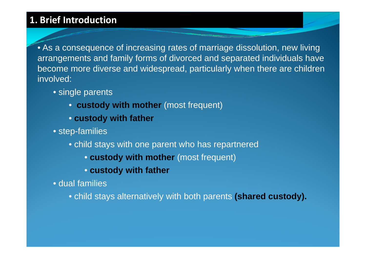# **1. Brief Introduction**

• As a consequence of increasing rates of marriage dissolution, new living arrangements and family forms of divorced and separated individuals have become more diverse and widespread, particularly when there are children involved:

- single parents
	- **custody with mother** (most frequent)
	- **custody with father**
- step-families
	- child stays with one parent who has repartnered
		- **custody with mother** (most frequent)
		- **custody with father**
- dual families

• child stays alternatively with both parents **(shared custody).**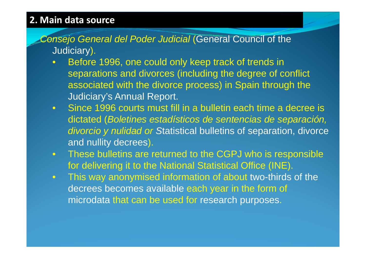# **2. Main data source**

- *Consejo General del Poder Judicial* (General Council of the (General of Judiciary).
	- $\bullet$  Before 1996, one could only keep track of trends in separations and divorces (including the degree of conflict associated with the divorce process) in Spain through the Judiciary's Annual Report.
	- Since 1996 courts must fill in a bulletin each time a decree is dictated (*Boletines estadísticos de sentencias de separación, divorcio y nulidad or or S*tatistical bulletins of separation divorce separation, and nullity decrees).
	- $\bullet$  These bulletins are returned to the CGPJ who is res ponsible for delivering it to the National Statistical Office (INE).
	- $\bullet$  This way anonymised information of about two-thirds of the decrees becomes available each year in the form of microdata that can be used for research purposes.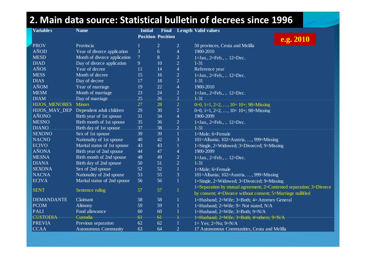| 2. Main data source: Statistical bulletin of decrees since 1996 |                              |                |                          |                |                                                                     |  |  |  |
|-----------------------------------------------------------------|------------------------------|----------------|--------------------------|----------------|---------------------------------------------------------------------|--|--|--|
| <b>Variables</b>                                                | <b>Name</b>                  | <b>Initial</b> | <b>Final</b>             |                | <b>Length Valid values</b>                                          |  |  |  |
|                                                                 |                              |                | <b>Position Position</b> |                | e.g. 2010                                                           |  |  |  |
| <b>PROV</b>                                                     | Provincia                    |                | $\overline{2}$           | $\overline{2}$ | 50 provinces, Ceuta and Melilla                                     |  |  |  |
| AÑOD                                                            | Year of divorce application  | 3              | 6                        | $\overline{4}$ | 1900-2010                                                           |  |  |  |
| <b>MESD</b>                                                     | Month of divorce application | $\overline{7}$ | 8                        | $\overline{2}$ | $1=$ Jan., $2=$ Feb., $12=$ Dec.                                    |  |  |  |
| <b>DIAD</b>                                                     | Day of divorce application   | 9              | 10                       | $\overline{2}$ | $1 - 31$                                                            |  |  |  |
| AÑOS                                                            | Year of decree               | 11             | 14                       | $\overline{4}$ | Reference year                                                      |  |  |  |
| <b>MESS</b>                                                     | Month of decree              | 15             | 16                       | $\overline{2}$ | $1 = Jan., 2 = Feb.,  12 = Dec.$                                    |  |  |  |
| <b>DIAS</b>                                                     | Day of decree                | 17             | 18                       | $\overline{2}$ | $1 - 31$                                                            |  |  |  |
| AÑOM                                                            | Year of marriage             | 19             | 22                       | $\overline{4}$ | 1900-2010                                                           |  |  |  |
| <b>MESM</b>                                                     | Month of marriage            | 23             | 24                       | $\overline{2}$ | 1=Jan., 2=Feb.,  12=Dec.                                            |  |  |  |
| <b>DIAM</b>                                                     | Day of marriage              | 25             | 26                       | $\overline{2}$ | $1 - 31$                                                            |  |  |  |
| <b>HIJOS_MENORES</b>                                            | <b>Minors</b>                | 27             | 28                       | $\overline{2}$ | 0=0, 1=1, 2=2, , 10= 10+; 98=Missing                                |  |  |  |
| HIJOS_MAY_DEP                                                   | Dependent adult children     | 29             | 30                       | $\overline{2}$ | 0=0, 1=1, 2=2, , 10= 10+; 98=Missing                                |  |  |  |
| <b>AÑONO</b>                                                    | Birth year of 1st spouse     | 31             | 34                       | $\overline{4}$ | 1900-2099                                                           |  |  |  |
| <b>MESNO</b>                                                    | Birth month of 1st spouse    | 35             | 36                       | $\overline{2}$ | 1=Jan., 2=Feb.,  12=Dec.                                            |  |  |  |
| <b>DIANO</b>                                                    | Birth day of 1st spouse      | 37             | 38                       | $\overline{2}$ | $1 - 31$                                                            |  |  |  |
| <b>SEXONO</b>                                                   | Sex of 1st spouse            | 39             | 39                       | $\mathbf{1}$   | $1 =$ Male; 6=Female                                                |  |  |  |
| <b>NACNO</b>                                                    | Nationality of 1st spouse    | 40             | 42                       | 3              | 101=Albania; 102=Austria, , 999=Missing                             |  |  |  |
| <b>ECIVO</b>                                                    | Marital status of 1st spouse | 43             | 43                       | $\mathbf{1}$   | 1=Single, 2=Widowed; 3=Divorced; 9=Missing                          |  |  |  |
| <b>AÑONA</b>                                                    | Birth year of 2nd spouse     | 44             | 47                       | $\overline{4}$ | 1900-2099                                                           |  |  |  |
| <b>MESNA</b>                                                    | Birth month of 2nd spouse    | 48             | 49                       | $\overline{2}$ | 1=Jan., 2=Feb.,  12=Dec.                                            |  |  |  |
| <b>DIANA</b>                                                    | Birth day of 2nd spouse      | 50             | 51                       | $\overline{2}$ | $1 - 31$                                                            |  |  |  |
| <b>SEXONA</b>                                                   | Sex of 2nd spouse            | 52             | 52                       | $\mathbf{1}$   | $1 = \overline{\text{Male}}$ ; $6 = \overline{\text{Female}}$       |  |  |  |
| <b>NACNA</b>                                                    | Nationality of 2nd spouse    | 53             | 55                       | 3              | 101=Albania; 102=Austria, , 999=Missing                             |  |  |  |
| <b>ECIVA</b>                                                    | Marital status of 2nd spouse | 56             | 56                       | $\mathbf{1}$   | 1=Single, 2=Widowed; 3=Divorced; 9=Missing                          |  |  |  |
| <b>SENT</b>                                                     | Sentence ruling              | 57             | 57                       | $\mathbf{1}$   | 1=Separation by mutual agreement; 2=Contested separation; 3=Divorce |  |  |  |
|                                                                 |                              |                |                          |                | by consent; 4=Divorce without consent; 5=Marriage nullified         |  |  |  |
| <b>DEMANDANTE</b>                                               | Claimant                     | 58             | 58                       | $\mathbf{1}$   | 1=Husband; 2=Wife; 3=Both; 4= Attorney General                      |  |  |  |
| <b>PCOM</b>                                                     | Alimony                      | 59             | 59                       | $\mathbf{1}$   | 1=Husband; $2=W$ ife; $9=Not$ stated, $N/A$                         |  |  |  |
| <b>PALI</b>                                                     | Food allowance               | 60             | 60                       | $\mathbf{1}$   | 1=Husband; $2=W$ ife; $3=Both$ ; $9=N/A$                            |  |  |  |
| <b>CUSTODIA</b>                                                 | Custodia                     | 6 <sup>1</sup> | 6 <sup>1</sup>           |                | 1=Husband; 2=Wife; 3=Both; 4=others; 9=N/A                          |  |  |  |
| <b>PREVIA</b>                                                   | Previous separation          | 62             | 62                       | $\mathbf{1}$   | $1 = Yes$ ; $2 = No$ ; $9 = N/A$                                    |  |  |  |
| <b>CCAA</b>                                                     | <b>Autonomous Community</b>  | 63             | 64                       | $\overline{2}$ | 17 Autonomous Communities, Ceuta and Melilla                        |  |  |  |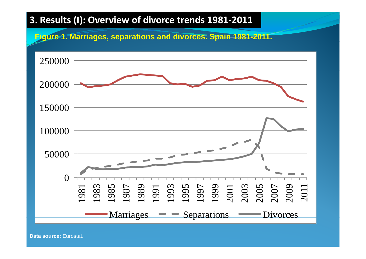#### **Figure 1. Marriages, separations and divorces. Spain 1981-2011.**



**Data source:** Eurostat.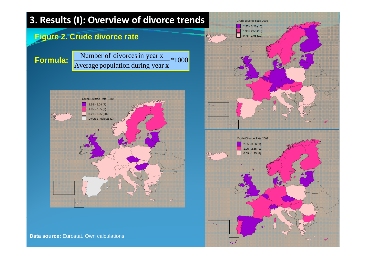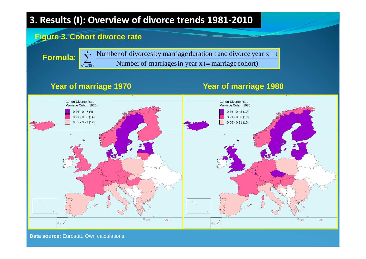#### **Figure 3. Cohort divorce rate**

 $\sum$  $<\!\!1...35+\!\!$ 

**Formula:** 

 $\mathcal{S}_{5+}$  Number of marriages in year x (= marriage cohort) **Formula:**  $\sum_{n=1}^{t}$  Number of divorces by marriage duration t and divorce year  $x + t$ 

#### **Year of marriage 1970 Year of marriage 1980**



**Data source:** Eurostat. Own calculations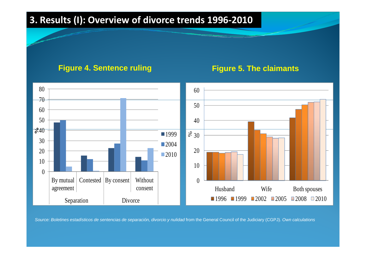#### **Figure 4. Sentence ruling Figure 5. The claimants**

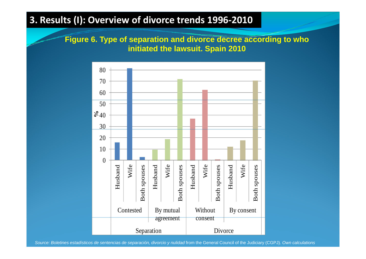**Figure 6. Type of separation and divorce decree according to who of initiated the lawsuit. Spain 2010**

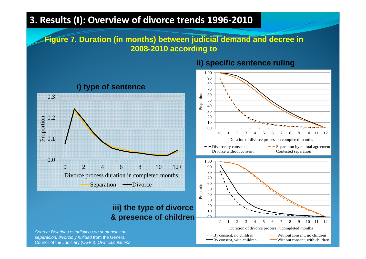#### **Figure 7. Duration (in months) between judicial demand and decree in 2008-2010 according to**



# **iii) the type of divorce**

*Source: Boletines estadísticos de sentencias de separación, divorcio y nulidad* from the General Council of the Judiciary (CGPJ)*. Own calculations*

#### **ii) specific sentence ruling**

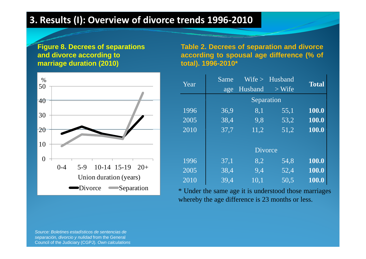**Figure 8. Decrees of separations and divorce according to marriage duration (2010)**



**Table 2. Decrees of separation and divorce according to spousal age difference (% of total). 1996-2010\***

| $\frac{1}{2}$<br>$\overline{0}$         | Year | Same |                           | Wife > Husband | <b>Total</b> |
|-----------------------------------------|------|------|---------------------------|----------------|--------------|
| $\overline{0}$                          |      |      | age Husband<br>Separation | $>$ Wife       |              |
| $\overline{0}$                          | 1996 | 36,9 | 8,1                       | 55,1           | 100.0        |
|                                         | 2005 | 38,4 | 9,8                       | 53,2           | 100.0        |
| $\overline{0}$                          | 2010 | 37,7 | 11,2                      | 51,2           | 100.0        |
| $\overline{0}$                          |      |      |                           |                |              |
|                                         |      |      | <b>Divorce</b>            |                |              |
| $\overline{0}$                          | 1996 | 37,1 | 8,2                       | 54,8           | 100.0        |
| $10-14$ 15-19 $20+$<br>$0 - 4$<br>$5-9$ | 2005 | 38,4 | 9,4                       | 52,4           | 100.0        |
| Union duration (years)                  | 2010 | 39,4 | 10,1                      | 50,5           | 100.0        |

 Under the same age it is understood those marriages whereby the age difference is 23 months or less.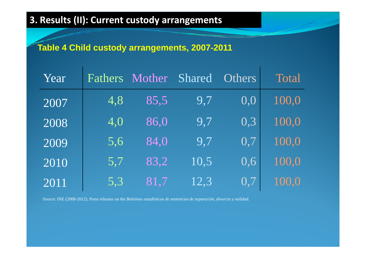### **Table 4 Child custody arrangements, 2007-2011**

| Year | Fathers | Mother | Shared | <b>Others</b> | Total |
|------|---------|--------|--------|---------------|-------|
| 2007 | 4,8     | 85,5   | 9,7    | 0,0           | 100,0 |
| 2008 | 4,0     | 86,0   | 9,7    | 0,3           | 100,0 |
| 2009 | 5,6     | 84,0   | 9,7    | 0,7           | 100,0 |
| 2010 | 5,7     | 83,2   | 10,5   | 0,6           | 100,0 |
| 2011 | 5,3     | 81,7   | 12,3   | 0,7           | 100.0 |

Source: INE (2008-2012). Press releases on the *Boletines estadísticos de sentencias de separación, divorcio y nulidad.*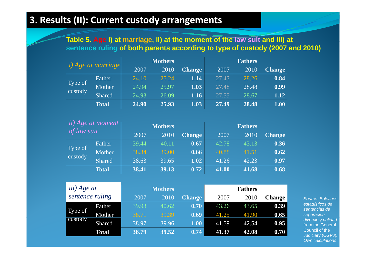#### Table 5. Age i) at marriage, ii) at the moment of the law suit and iii) at **sentence ruling of both parents according to type of custody (2007 and 2010)**

| <i>i</i> ) Age at marriage |               |       | <b>Mothers</b> |               |       | <b>Fathers</b> |               |
|----------------------------|---------------|-------|----------------|---------------|-------|----------------|---------------|
|                            |               | 2007  | 2010           | <b>Change</b> | 2007  | 2010           | <b>Change</b> |
|                            | Father        | 24.10 | 25.24          | 1.14          | 27.43 | 28.26          | 0.84          |
| Type of<br>custody         | Mother        | 24.94 | 25.97          | 1.03          | 27.48 | 28.48          | 0.99          |
|                            | <b>Shared</b> | 24.93 | 26.09          | 1.16          | 27.55 | 28.67          | 1.12          |
|                            | <b>Total</b>  | 24.90 | 25.93          | 1.03          | 27.49 | 28.48          | 1.00          |

|                    | <i>ii</i> ) Age at <i>moment</i> |       | <b>Mothers</b> |               |       | <b>Fathers</b> |               |
|--------------------|----------------------------------|-------|----------------|---------------|-------|----------------|---------------|
| of law suit        |                                  | 2007  | 2010           | <b>Change</b> | 2007  | 2010           | <b>Change</b> |
|                    | Father                           | 39.44 | 40.11          | (0.67)        | 42.78 | 43.13          | 0.36          |
| Type of<br>custody | Mother                           | 38.34 | 39.00          | 0.66          | 40.88 | 41.51          | 0.62          |
|                    | <b>Shared</b>                    | 38.63 | 39.65          | 1.02          | 41.26 | 42.23          | 0.97          |
|                    | <b>Total</b>                     | 38.41 | 39.13          | 0.72          | 41.00 | 41.68          | 0.68          |

| iii) Age at     |        |       | <b>Mothers</b> |                   |       | <b>Fathers</b> |        |                                        |
|-----------------|--------|-------|----------------|-------------------|-------|----------------|--------|----------------------------------------|
| sentence ruling |        | 2007  | 2010           | <b>Change</b>     | 2007  | 2010           | Change | <b>Source: Boletines</b>               |
|                 | Father | 39.93 | 40.62          | 0.70              | 43.26 | 43.65          | 0.39   | estadísticos de<br>sentencias de       |
| Type of         | Mother | 38.71 | 39.39          | 0.69              | 41.25 | 41.90          | 0.65   | separación,                            |
| custody         | Shared | 38.97 | 39.96          | 1.00 <sub>l</sub> | 41.59 | 42.54          | 0.95   | divorcio y nulidad<br>from the General |
|                 | Total  | 38.79 | 39.52          | 0.74              | 41.37 | 42.08          | 0.70   | Council of the<br>Judiciary (CGPJ)     |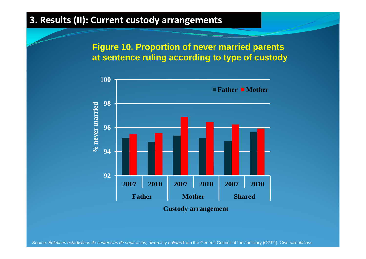**Figure 10. Proportion of never married parents at sentence ruling according to type of custody**

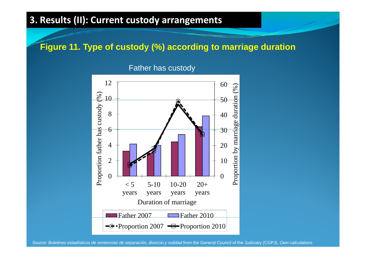#### **Figure 11. Type of custody (%) according to marriage duration**

Father has custody

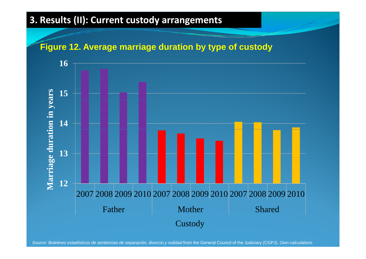#### **Figure 12. Average marriage duration by type of custody**

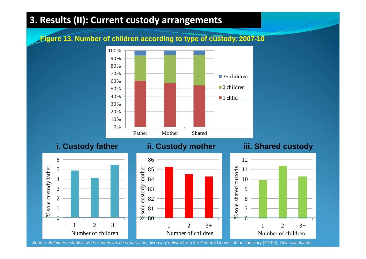**Fig g yp y ure 13. Number of children according to type of custody. 2007-10**



**i. Custody father ii. Custody mother iii. Shared custody**

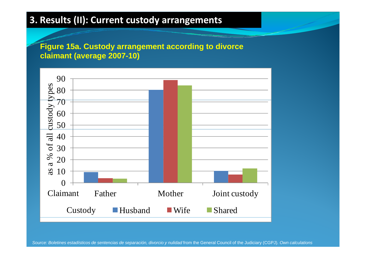**Figure 15a. Custody arrangement according to divorce claimant (average 2007-10)**

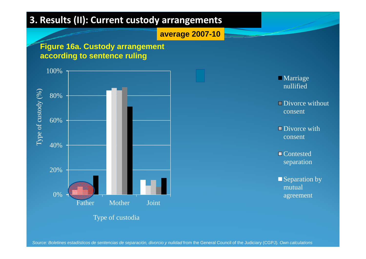**average 2007-10**

#### **Figure 16a. Custody arrangement according to sentence ruling**





agreement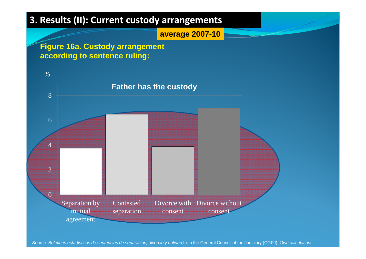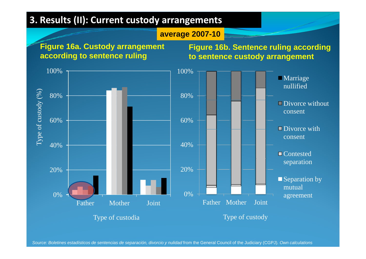#### **average 2007-10**

**Figure 16a. Custody arrangement according to sentence ruling**

**Figure 16b. Sentence ruling according to sentence custody arrangement** 

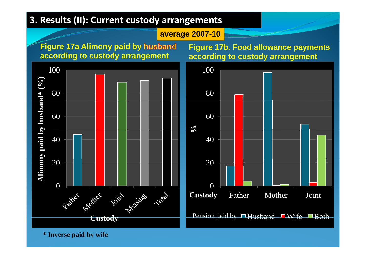**average 2007-10**

**Figure 17a Alimony paid by according to custody arrangement**



**Figure 17b. Food allowance payments according to custody arrangement**



**\* Inverse paid by wife**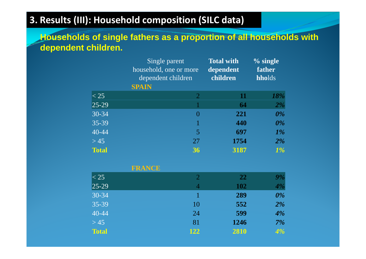#### **3. Results (III): Household composition (SILC data)**

**Households of single fathers as a proportion of all households with g pp dependent children.** 

|              | Single parent<br>household, one or more<br>dependent children<br><b>SPAIN</b> | <b>Total with</b><br>dependent<br>children | $%$ single<br>father<br>hholds |
|--------------|-------------------------------------------------------------------------------|--------------------------------------------|--------------------------------|
| $ <$ 25      | $\overline{2}$                                                                | 11                                         | 18%                            |
| $ 25-29 $    |                                                                               | 64                                         | 2%                             |
| $30-34$      | $\theta$                                                                      | 221                                        | $0\%$                          |
| 35-39        |                                                                               | 440                                        | $0\%$                          |
| $40 - 44$    | 5                                                                             | 697                                        | $1\%$                          |
| > 45         | 27                                                                            | 1754                                       | $2\%$                          |
| <b>Total</b> | 36                                                                            | 3187                                       | 1%                             |

| <b>FRANCE</b> |                |            |       |
|---------------|----------------|------------|-------|
| $ <$ 25       | $\overline{2}$ | <b>22</b>  | 9%    |
| $ 25-29 $     | $\overline{4}$ | <b>102</b> | $4\%$ |
| 30-34         |                | 289        | $0\%$ |
| 35-39         | 10             | 552        | $2\%$ |
| $40 - 44$     | 24             | 599        | 4%    |
| $>45$         | 81             | 1246       | 7%    |
| <b>Total</b>  | 122            | 2810       | 4%    |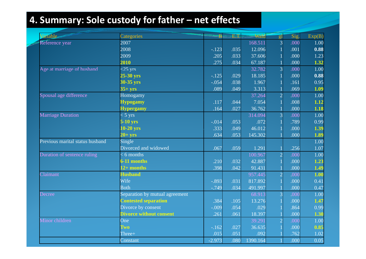# **4. Summary: Sole custody for father – net effects**

| <b>Variable</b>                 | Categories                     | B        | E.T. | <b>Wald</b> | g <sub>1</sub> | Sig. | Exp(B)            |
|---------------------------------|--------------------------------|----------|------|-------------|----------------|------|-------------------|
| Reference year                  | 2007                           |          |      | 168.511     | $\overline{3}$ | .000 | 1.00              |
|                                 | 2008                           | $-.123$  | .035 | 12.096      |                | .001 | 0.88              |
|                                 | 2009                           | .205     | .033 | 37.606      |                | .000 | 1.23              |
|                                 | 2010                           | .275     | .034 | 67.187      |                | .000 | $\overline{1.32}$ |
| Age at marriage of husband      | $\leq$ 25 yrs                  |          |      | 32.782      | $\overline{3}$ | .000 | 1.00              |
|                                 | $25-30$ yrs                    | $-.125$  | .029 | 18.185      |                | .000 | 0.88              |
|                                 | 30-35 yrs                      | $-.054$  | .038 | 1.967       |                | .161 | 0.95              |
|                                 | $35+$ yrs                      | .089     | .049 | 3.313       |                | .069 | 1.09              |
| Spousal age difference          | Homogamy                       |          |      | 37.264      | $\overline{2}$ | .000 | 1.00              |
|                                 | <b>Hypogamy</b>                | .117     | .044 | 7.054       |                | .008 | 1.12              |
|                                 | <b>Hypergamy</b>               | .164     | .027 | 36.762      |                | .000 | 1.18              |
| <b>Marriage Duration</b>        | $< 5 \text{ yrs}$              |          |      | 314.094     | $\overline{3}$ | .000 | 1.00              |
|                                 | 5-10 yrs                       | $-.014$  | .053 | .072        |                | .789 | 0.99              |
|                                 | $10-20$ yrs                    | .333     | .049 | 46.012      |                | .000 | 1.39              |
|                                 | $20+$ yrs                      | .634     | .053 | 145.302     |                | .000 | 1.89              |
| Previous marital status husband | Single                         |          |      |             |                |      | 1.00              |
|                                 | Divorced and widowed           | .067     | .059 | 1.291       |                | .256 | 1.07              |
| Duration of sentence ruling     | $< 6$ months                   |          |      | 100.967     | $\overline{2}$ | .000 | 1.00              |
|                                 | 6-11 months                    | .210     | .032 | 42.887      |                | .000 | 1.23              |
|                                 | $12+$ months                   | .398     | .042 | 91.431      |                | .000 | 1.49              |
| Claimant                        | <b>Husband</b>                 |          |      | 957.445     | $\overline{2}$ | .000 | 1.00              |
|                                 | Wife                           | $-.893$  | .031 | 817.892     |                | .000 | 0.41              |
|                                 | <b>Both</b>                    | $-.749$  | .034 | 491.997     |                | .000 | 0.47              |
| Decree                          | Separation by mutual agreement |          |      | 68.913      |                | .000 | 1.00              |
|                                 | <b>Contested separation</b>    | .384     | .105 | 13.276      |                | .000 | 1.47              |
|                                 | Divorce by consent             | $-.009$  | .054 | .029        |                | .864 | 0.99              |
|                                 | <b>Divorce without consent</b> | .261     | .061 | 18.397      |                | .000 | 1.30              |
| Minor children                  | One                            |          |      | 39.291      | $\overline{2}$ | .000 | 1.00              |
|                                 | <b>Two</b>                     | $-.162$  | .027 | 36.635      |                | .000 | 0.85              |
|                                 | Three+                         | .015     | .051 | .092        |                | .762 | 1.02              |
|                                 | Constant                       | $-2.973$ | .080 | 1390.164    |                | .000 | 0.05              |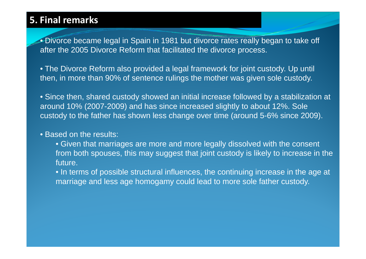# **5. Final remarks**

 $\bullet$  Divorce became legal in Spain in 1981 but divorce rates really began to take off after the 2005 Divorce Reform that facilitated the divorce process.

• The Divorce Reform also provided <sup>a</sup> legal framework for joint custody. Up until until then, in more than 90% of sentence rulings the mother was given sole custody.

• Since then, shared custody showed an initial increase followed by a stabilization at around 10% (2007-2009) and has since increased slightly to about 12%. Sole custody to the father has shown less change over time (around 5-6% since 2009).

#### • Based on the results:

• Given that marriages are more and more legally dissolved with the consent from both spouses, this may suggest that joint custody is likely to increase in the future.

• In terms of possible structural influences, the continuing increase in the age at marriage and less age homogamy could lead to more sole father custody.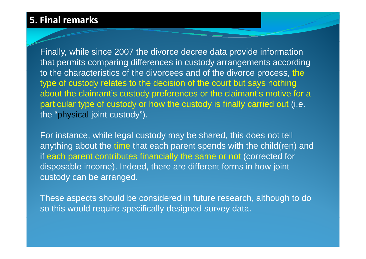#### **5. Final remarks**

Finally, while since 2007 the divorce decree data provide information that permits comparing differences in custody arrangements according to the characteristics of the divorcees and of the divorce process, the type of custody relates to the decision of the court but says nothing about the claimant's custody preferences or the claimant's motive for a particular type of custody or how the custody is finally carried out (i.e. the "physical joint custody").

For instance, while legal custody may be shared, this does not tell anything about the time that each parent spends with the child(ren) and if each parent contributes financially the same or not (corrected for disposable income). Indeed, there are different forms in how joint custody can be arranged.

These aspects should be considered in future research, although to do so this would require specifically designed survey data.